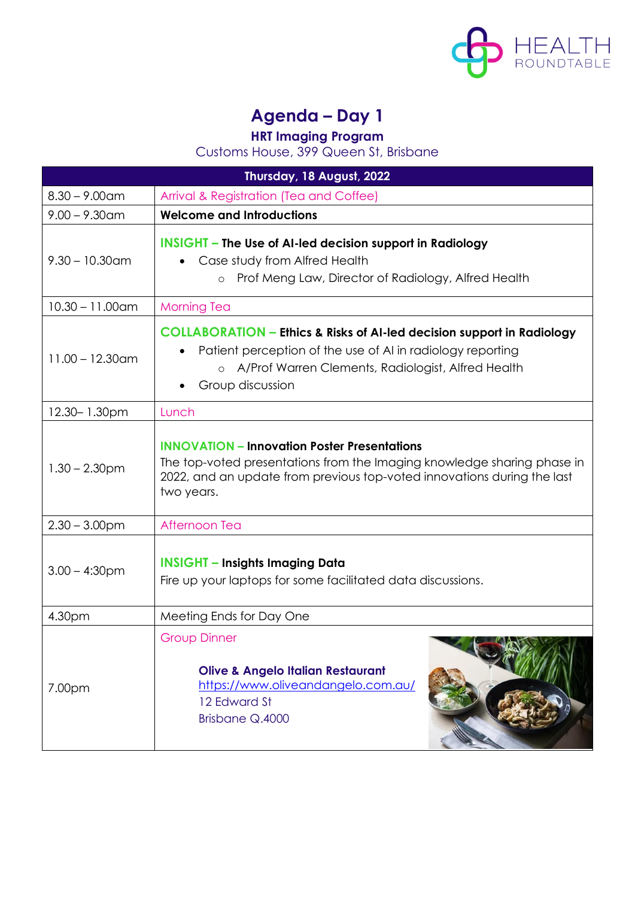

## **Agenda – Day 1**

**HRT Imaging Program**

Customs House, 399 Queen St, Brisbane

| Thursday, 18 August, 2022 |                                                                                                                                                                                                                             |
|---------------------------|-----------------------------------------------------------------------------------------------------------------------------------------------------------------------------------------------------------------------------|
| $8.30 - 9.00$ am          | Arrival & Registration (Tea and Coffee)                                                                                                                                                                                     |
| $9.00 - 9.30$ am          | <b>Welcome and Introductions</b>                                                                                                                                                                                            |
| $9.30 - 10.30$ am         | <b>INSIGHT</b> – The Use of AI-led decision support in Radiology<br>Case study from Alfred Health<br>Prof Meng Law, Director of Radiology, Alfred Health<br>$\circ$                                                         |
| $10.30 - 11.00$ am        | <b>Morning Tea</b>                                                                                                                                                                                                          |
| $11.00 - 12.30$ am        | <b>COLLABORATION - Ethics &amp; Risks of AI-led decision support in Radiology</b><br>Patient perception of the use of AI in radiology reporting<br>o A/Prof Warren Clements, Radiologist, Alfred Health<br>Group discussion |
| 12.30-1.30pm              | Lunch                                                                                                                                                                                                                       |
| $1.30 - 2.30$ pm          | <b>INNOVATION - Innovation Poster Presentations</b><br>The top-voted presentations from the Imaging knowledge sharing phase in<br>2022, and an update from previous top-voted innovations during the last<br>two years.     |
| $2.30 - 3.00$ pm          | Afternoon Tea                                                                                                                                                                                                               |
| $3.00 - 4:30$ pm          | <b>INSIGHT - Insights Imaging Data</b><br>Fire up your laptops for some facilitated data discussions.                                                                                                                       |
| 4.30pm                    | Meeting Ends for Day One                                                                                                                                                                                                    |
| 7.00pm                    | <b>Group Dinner</b><br><b>Olive &amp; Angelo Italian Restaurant</b><br>https://www.oliveandangelo.com.au/<br>12 Edward St<br>Brisbane Q.4000                                                                                |